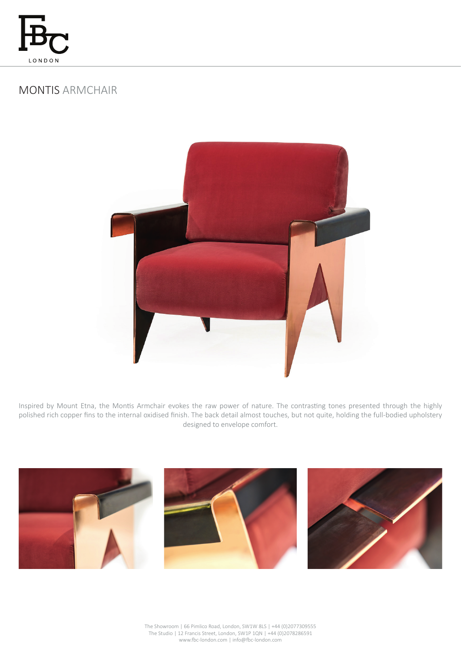

# MONTIS ARMCHAIR



Inspired by Mount Etna, the Montis Armchair evokes the raw power of nature. The contrasting tones presented through the highly polished rich copper fins to the internal oxidised finish. The back detail almost touches, but not quite, holding the full-bodied upholstery designed to envelope comfort.